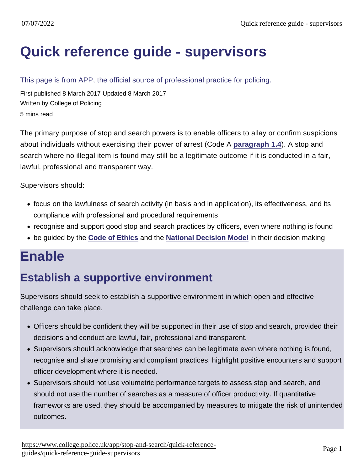# [Quick reference guide - supervisors](https://www.college.police.uk/app/stop-and-search/quick-reference-guides/quick-reference-guide-supervisors)

#### This page is from APP, the official source of professional practice for policing.

First published 8 March 2017 Updated 8 March 2017 Written by College of Policing 5 mins read

The primary purpose of stop and search powers is to enable officers to allay or confirm suspicions about individuals without exercising their power of arrest (Code A [paragraph 1.4](https://www.gov.uk/guidance/police-and-criminal-evidence-act-1984-pace-codes-of-practice) ). A stop and search where no illegal item is found may still be a legitimate outcome if it is conducted in a fair, lawful, professional and transparent way.

Supervisors should:

- focus on the lawfulness of search activity (in basis and in application), its effectiveness, and its compliance with professional and procedural requirements
- recognise and support good stop and search practices by officers, even where nothing is found
- be guided by the [Code of Ethics](http://www.college.police.uk/What-we-do/Ethics/Documents/Code_of_Ethics.pdf) and the [National Decision Model](https://www.app.college.police.uk/app-content/national-decision-model/the-national-decision-model/) in their decision making

### Enable

#### Establish a supportive environment

Supervisors should seek to establish a supportive environment in which open and effective challenge can take place.

- Officers should be confident they will be supported in their use of stop and search, provided their decisions and conduct are lawful, fair, professional and transparent.
- Supervisors should acknowledge that searches can be legitimate even where nothing is found, recognise and share promising and compliant practices, highlight positive encounters and support officer development where it is needed.
- Supervisors should not use volumetric performance targets to assess stop and search, and should not use the number of searches as a measure of officer productivity. If quantitative frameworks are used, they should be accompanied by measures to mitigate the risk of unintended outcomes.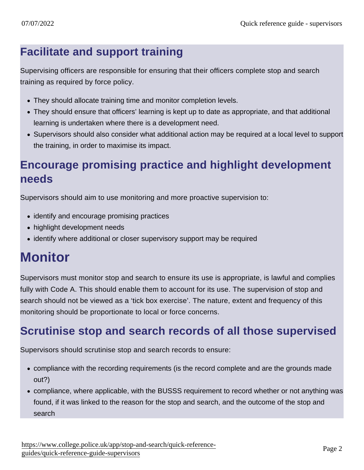#### Facilitate and support training

Supervising officers are responsible for ensuring that their officers complete stop and search training as required by force policy.

- They should allocate training time and monitor completion levels.
- They should ensure that officers' learning is kept up to date as appropriate, and that additional learning is undertaken where there is a development need.
- Supervisors should also consider what additional action may be required at a local level to support the training, in order to maximise its impact.

#### Encourage promising practice and highlight development needs

Supervisors should aim to use monitoring and more proactive supervision to:

- identify and encourage promising practices
- highlight development needs
- identify where additional or closer supervisory support may be required

## **Monitor**

Supervisors must monitor stop and search to ensure its use is appropriate, is lawful and complies fully with Code A. This should enable them to account for its use. The supervision of stop and search should not be viewed as a 'tick box exercise'. The nature, extent and frequency of this monitoring should be proportionate to local or force concerns.

#### Scrutinise stop and search records of all those supervised

Supervisors should scrutinise stop and search records to ensure:

- compliance with the recording requirements (is the record complete and are the grounds made out?)
- compliance, where applicable, with the BUSSS requirement to record whether or not anything was found, if it was linked to the reason for the stop and search, and the outcome of the stop and search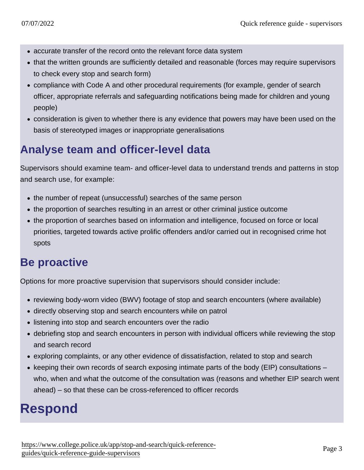- accurate transfer of the record onto the relevant force data system
- that the written grounds are sufficiently detailed and reasonable (forces may require supervisors to check every stop and search form)
- compliance with Code A and other procedural requirements (for example, gender of search officer, appropriate referrals and safeguarding notifications being made for children and young people)
- consideration is given to whether there is any evidence that powers may have been used on the basis of stereotyped images or inappropriate generalisations

#### Analyse team and officer-level data

Supervisors should examine team- and officer-level data to understand trends and patterns in stop and search use, for example:

- the number of repeat (unsuccessful) searches of the same person
- the proportion of searches resulting in an arrest or other criminal justice outcome
- the proportion of searches based on information and intelligence, focused on force or local priorities, targeted towards active prolific offenders and/or carried out in recognised crime hot spots

#### Be proact ive

Options for more proactive supervision that supervisors should consider include:

- reviewing body-worn video (BWV) footage of stop and search encounters (where available)
- directly observing stop and search encounters while on patrol
- listening into stop and search encounters over the radio
- debriefing stop and search encounters in person with individual officers while reviewing the stop and search record
- exploring complaints, or any other evidence of dissatisfaction, related to stop and search
- keeping their own records of search exposing intimate parts of the body (EIP) consultations  $$ who, when and what the outcome of the consultation was (reasons and whether EIP search went ahead) – so that these can be cross-referenced to officer records

### Respond